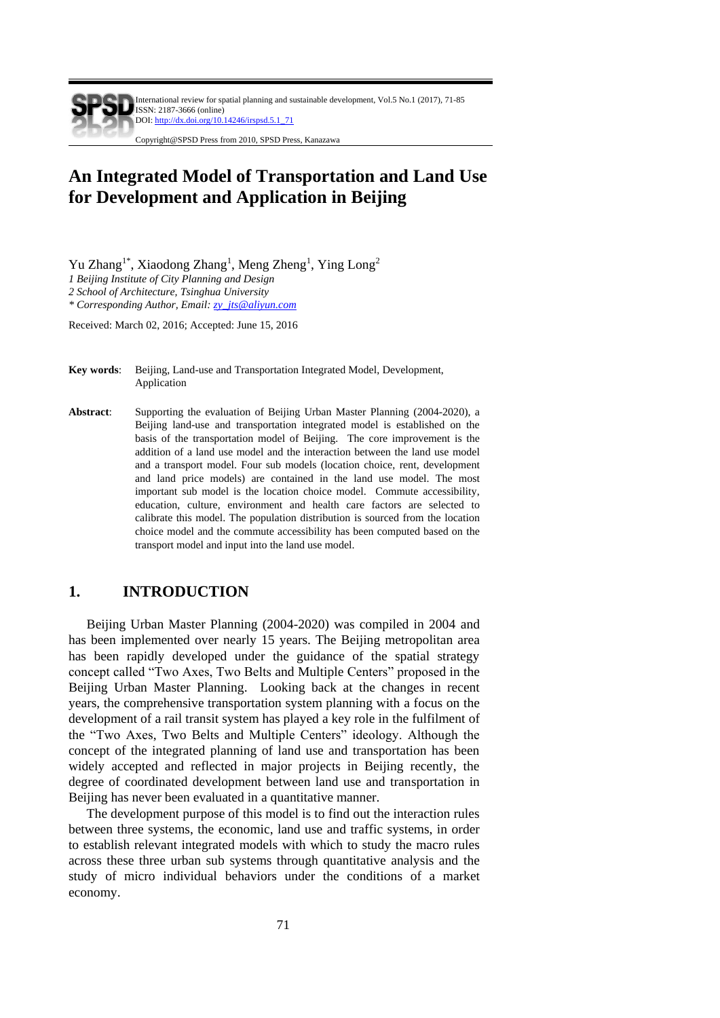# **An Integrated Model of Transportation and Land Use for Development and Application in Beijing**

Yu Zhang<sup>1\*</sup>, Xiaodong Zhang<sup>1</sup>, Meng Zheng<sup>1</sup>, Ying Long<sup>2</sup>

*1 Beijing Institute of City Planning and Design*

*2 School of Architecture, Tsinghua University*

*\* Corresponding Author, Email[: zy\\_jts@aliyun.com](mailto:zy_jts@aliyun.com)*

Received: March 02, 2016; Accepted: June 15, 2016

- **Key words**: Beijing, Land-use and Transportation Integrated Model, Development, Application
- **Abstract**: Supporting the evaluation of Beijing Urban Master Planning (2004-2020), a Beijing land-use and transportation integrated model is established on the basis of the transportation model of Beijing. The core improvement is the addition of a land use model and the interaction between the land use model and a transport model. Four sub models (location choice, rent, development and land price models) are contained in the land use model. The most important sub model is the location choice model. Commute accessibility, education, culture, environment and health care factors are selected to calibrate this model. The population distribution is sourced from the location choice model and the commute accessibility has been computed based on the transport model and input into the land use model.

# **1. INTRODUCTION**

Beijing Urban Master Planning (2004-2020) was compiled in 2004 and has been implemented over nearly 15 years. The Beijing metropolitan area has been rapidly developed under the guidance of the spatial strategy concept called "Two Axes, Two Belts and Multiple Centers" proposed in the Beijing Urban Master Planning. Looking back at the changes in recent years, the comprehensive transportation system planning with a focus on the development of a rail transit system has played a key role in the fulfilment of the "Two Axes, Two Belts and Multiple Centers" ideology. Although the concept of the integrated planning of land use and transportation has been widely accepted and reflected in major projects in Beijing recently, the degree of coordinated development between land use and transportation in Beijing has never been evaluated in a quantitative manner.

The development purpose of this model is to find out the interaction rules between three systems, the economic, land use and traffic systems, in order to establish relevant integrated models with which to study the macro rules across these three urban sub systems through quantitative analysis and the study of micro individual behaviors under the conditions of a market economy.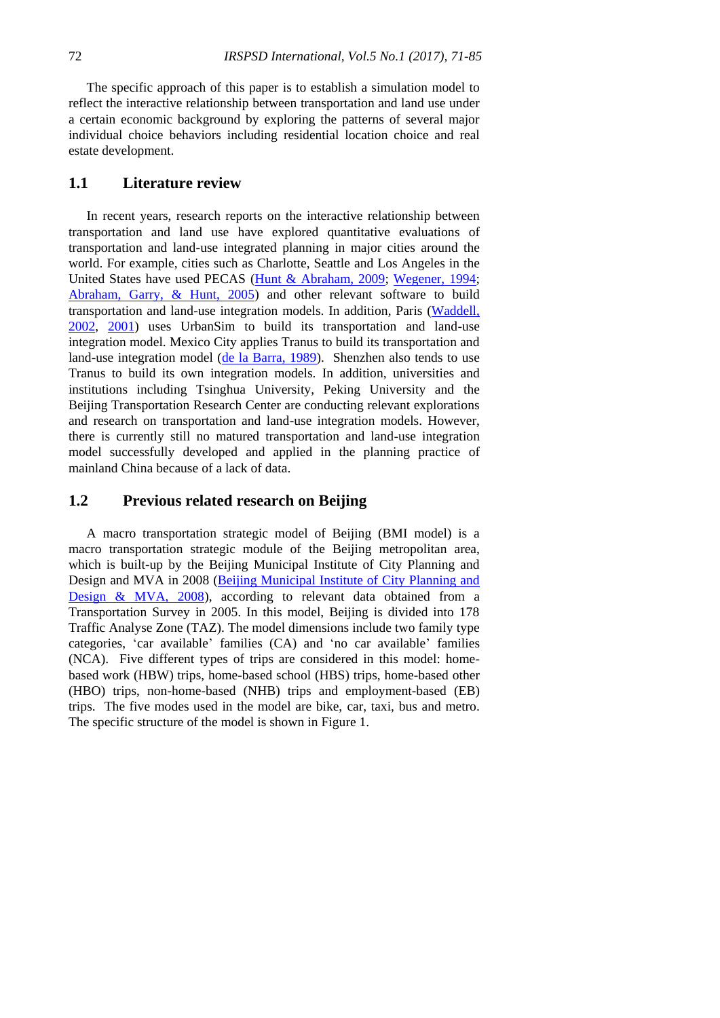The specific approach of this paper is to establish a simulation model to reflect the interactive relationship between transportation and land use under a certain economic background by exploring the patterns of several major individual choice behaviors including residential location choice and real estate development.

# **1.1 Literature review**

In recent years, research reports on the interactive relationship between transportation and land use have explored quantitative evaluations of transportation and land-use integrated planning in major cities around the world. For example, cities such as Charlotte, Seattle and Los Angeles in the United States have used PECAS [\(Hunt & Abraham, 2009;](#page-14-0) [Wegener, 1994;](#page-14-1) [Abraham, Garry, & Hunt, 2005\)](#page-13-0) and other relevant software to build transportation and land-use integration models. In addition, Paris [\(Waddell,](#page-14-2)  [2002,](#page-14-2) [2001\)](#page-14-3) uses UrbanSim to build its transportation and land-use integration model. Mexico City applies Tranus to build its transportation and land-use integration model [\(de la Barra, 1989\)](#page-14-4). Shenzhen also tends to use Tranus to build its own integration models. In addition, universities and institutions including Tsinghua University, Peking University and the Beijing Transportation Research Center are conducting relevant explorations and research on transportation and land-use integration models. However, there is currently still no matured transportation and land-use integration model successfully developed and applied in the planning practice of mainland China because of a lack of data.

# **1.2 Previous related research on Beijing**

A macro transportation strategic model of Beijing (BMI model) is a macro transportation strategic module of the Beijing metropolitan area, which is built-up by the Beijing Municipal Institute of City Planning and Design and MVA in 2008 [\(Beijing Municipal Institute of City Planning and](#page-13-1)  [Design & MVA, 2008\)](#page-13-1), according to relevant data obtained from a Transportation Survey in 2005. In this model, Beijing is divided into 178 Traffic Analyse Zone (TAZ). The model dimensions include two family type categories, 'car available' families (CA) and 'no car available' families (NCA). Five different types of trips are considered in this model: homebased work (HBW) trips, home-based school (HBS) trips, home-based other (HBO) trips, non-home-based (NHB) trips and employment-based (EB) trips. The five modes used in the model are bike, car, taxi, bus and metro. The specific structure of the model is shown in Figure 1.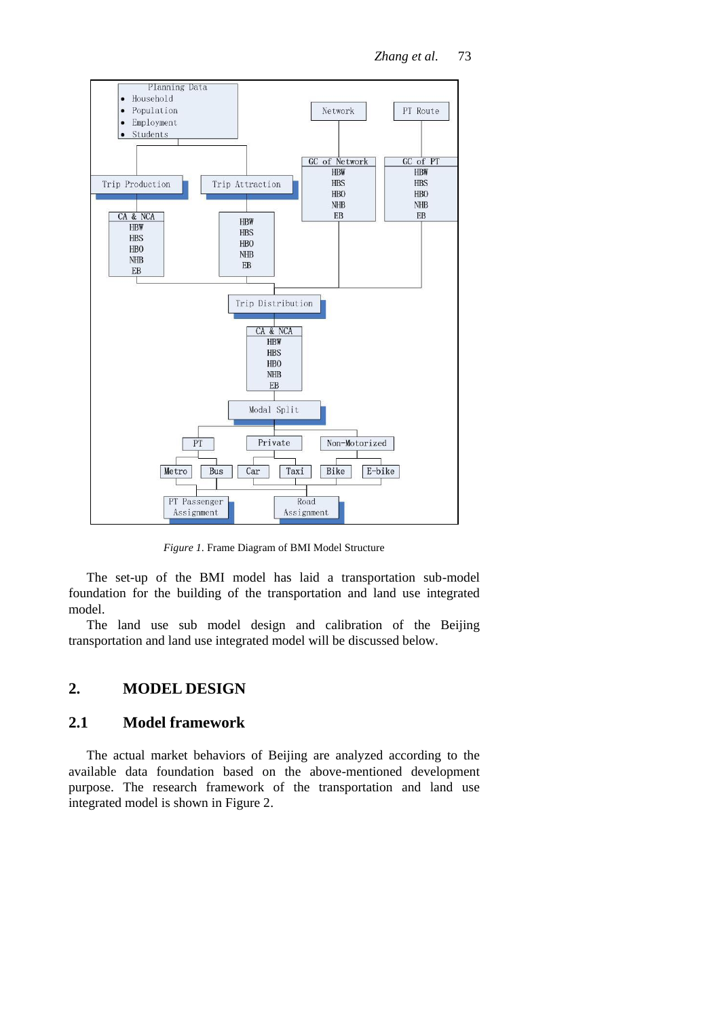*Zhang et al.* 73



*Figure 1*. Frame Diagram of BMI Model Structure

The set-up of the BMI model has laid a transportation sub-model foundation for the building of the transportation and land use integrated model.

The land use sub model design and calibration of the Beijing transportation and land use integrated model will be discussed below.

# **2. MODEL DESIGN**

# **2.1 Model framework**

The actual market behaviors of Beijing are analyzed according to the available data foundation based on the above-mentioned development purpose. The research framework of the transportation and land use integrated model is shown in Figure 2.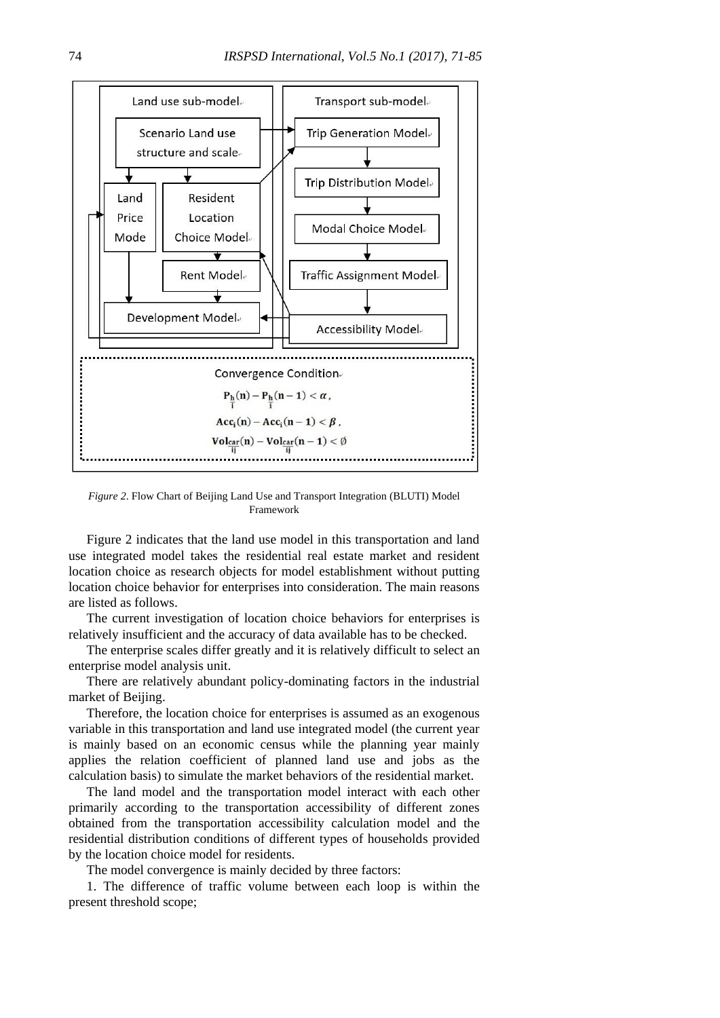

*Figure 2*. Flow Chart of Beijing Land Use and Transport Integration (BLUTI) Model Framework

Figure 2 indicates that the land use model in this transportation and land use integrated model takes the residential real estate market and resident location choice as research objects for model establishment without putting location choice behavior for enterprises into consideration. The main reasons are listed as follows.

The current investigation of location choice behaviors for enterprises is relatively insufficient and the accuracy of data available has to be checked.

The enterprise scales differ greatly and it is relatively difficult to select an enterprise model analysis unit.

There are relatively abundant policy-dominating factors in the industrial market of Beijing.

Therefore, the location choice for enterprises is assumed as an exogenous variable in this transportation and land use integrated model (the current year is mainly based on an economic census while the planning year mainly applies the relation coefficient of planned land use and jobs as the calculation basis) to simulate the market behaviors of the residential market.

The land model and the transportation model interact with each other primarily according to the transportation accessibility of different zones obtained from the transportation accessibility calculation model and the residential distribution conditions of different types of households provided by the location choice model for residents.

The model convergence is mainly decided by three factors:

1. The difference of traffic volume between each loop is within the present threshold scope;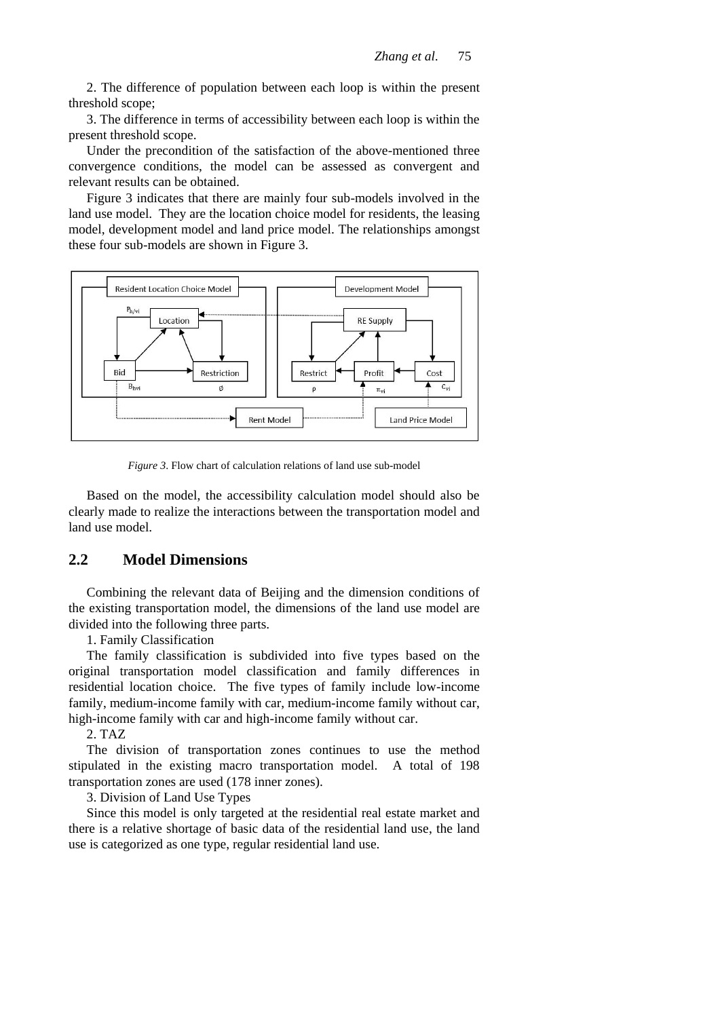2. The difference of population between each loop is within the present threshold scope;

3. The difference in terms of accessibility between each loop is within the present threshold scope.

Under the precondition of the satisfaction of the above-mentioned three convergence conditions, the model can be assessed as convergent and relevant results can be obtained.

Figure 3 indicates that there are mainly four sub-models involved in the land use model. They are the location choice model for residents, the leasing model, development model and land price model. The relationships amongst these four sub-models are shown in Figure 3.



*Figure 3*. Flow chart of calculation relations of land use sub-model

Based on the model, the accessibility calculation model should also be clearly made to realize the interactions between the transportation model and land use model.

# **2.2 Model Dimensions**

Combining the relevant data of Beijing and the dimension conditions of the existing transportation model, the dimensions of the land use model are divided into the following three parts.

1. Family Classification

The family classification is subdivided into five types based on the original transportation model classification and family differences in residential location choice. The five types of family include low-income family, medium-income family with car, medium-income family without car, high-income family with car and high-income family without car.

2. TAZ

The division of transportation zones continues to use the method stipulated in the existing macro transportation model. A total of 198 transportation zones are used (178 inner zones).

3. Division of Land Use Types

Since this model is only targeted at the residential real estate market and there is a relative shortage of basic data of the residential land use, the land use is categorized as one type, regular residential land use.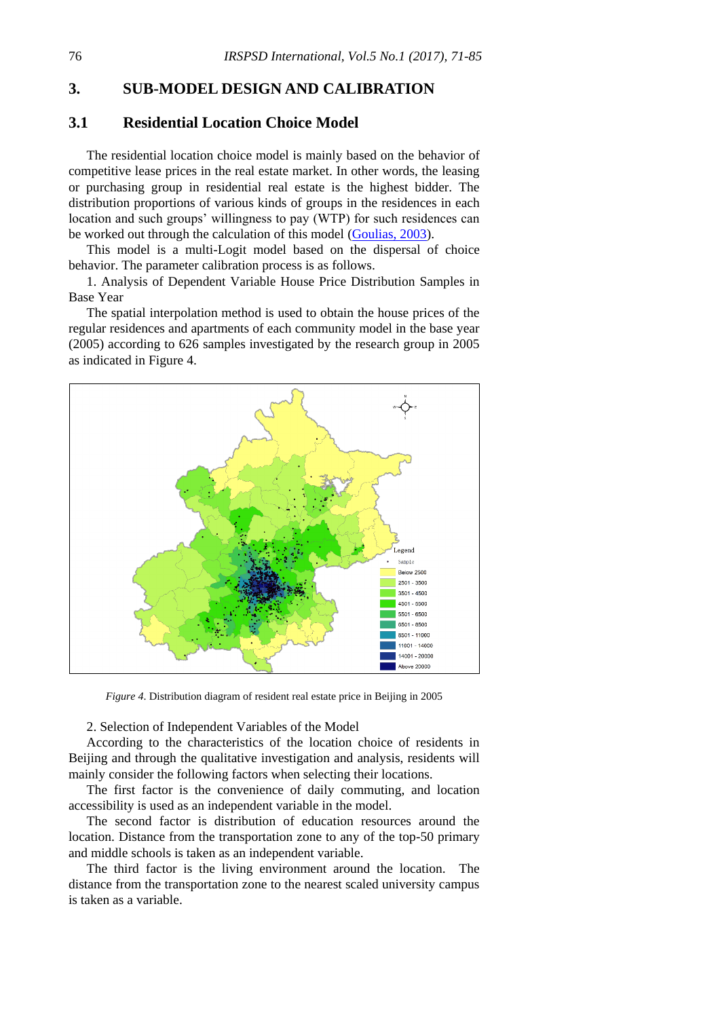### **3. SUB-MODEL DESIGN AND CALIBRATION**

# **3.1 Residential Location Choice Model**

The residential location choice model is mainly based on the behavior of competitive lease prices in the real estate market. In other words, the leasing or purchasing group in residential real estate is the highest bidder. The distribution proportions of various kinds of groups in the residences in each location and such groups' willingness to pay (WTP) for such residences can be worked out through the calculation of this model [\(Goulias, 2003\)](#page-14-5).

This model is a multi-Logit model based on the dispersal of choice behavior. The parameter calibration process is as follows.

1. Analysis of Dependent Variable House Price Distribution Samples in Base Year

The spatial interpolation method is used to obtain the house prices of the regular residences and apartments of each community model in the base year (2005) according to 626 samples investigated by the research group in 2005 as indicated in Figure 4.



*Figure 4*. Distribution diagram of resident real estate price in Beijing in 2005

#### 2. Selection of Independent Variables of the Model

According to the characteristics of the location choice of residents in Beijing and through the qualitative investigation and analysis, residents will mainly consider the following factors when selecting their locations.

The first factor is the convenience of daily commuting, and location accessibility is used as an independent variable in the model.

The second factor is distribution of education resources around the location. Distance from the transportation zone to any of the top-50 primary and middle schools is taken as an independent variable.

The third factor is the living environment around the location. The distance from the transportation zone to the nearest scaled university campus is taken as a variable.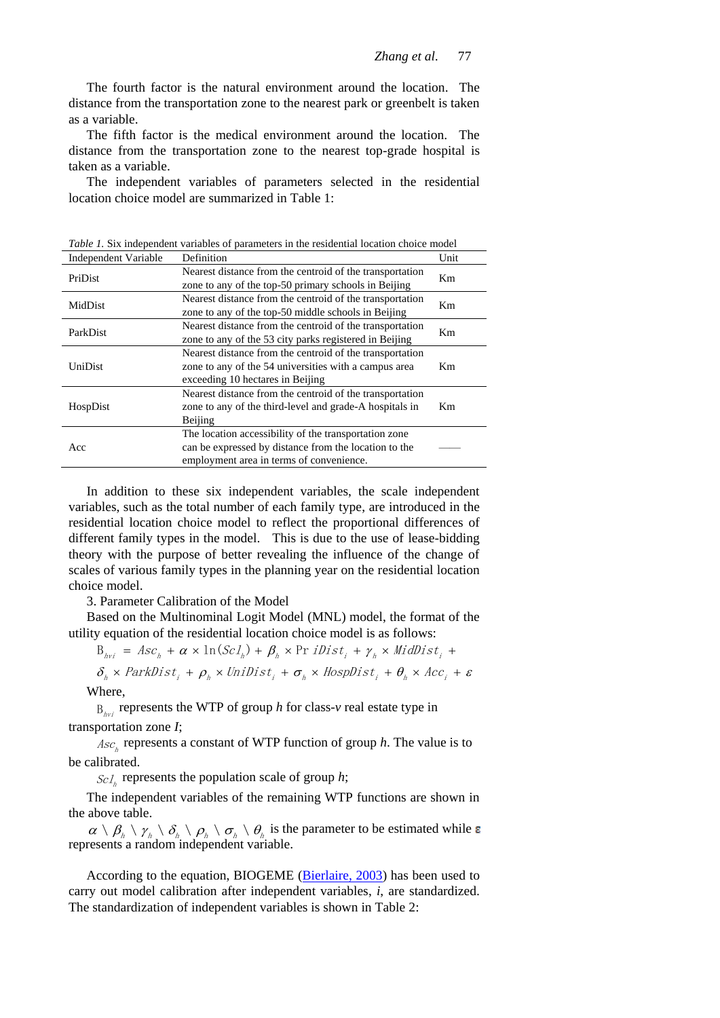The fourth factor is the natural environment around the location. The distance from the transportation zone to the nearest park or greenbelt is taken as a variable.

The fifth factor is the medical environment around the location. The distance from the transportation zone to the nearest top-grade hospital is taken as a variable.

The independent variables of parameters selected in the residential location choice model are summarized in Table 1:

| <i>rable 1</i> , Six independent variables of parameters in the residential focation enoted model |                                                          |                |  |  |  |
|---------------------------------------------------------------------------------------------------|----------------------------------------------------------|----------------|--|--|--|
| Independent Variable                                                                              | Definition                                               | Unit           |  |  |  |
| PriDist                                                                                           | Nearest distance from the centroid of the transportation | Km             |  |  |  |
|                                                                                                   | zone to any of the top-50 primary schools in Beijing     |                |  |  |  |
| MidDist                                                                                           | Nearest distance from the centroid of the transportation | Km             |  |  |  |
|                                                                                                   | zone to any of the top-50 middle schools in Beijing      |                |  |  |  |
| ParkDist                                                                                          | Nearest distance from the centroid of the transportation | Km             |  |  |  |
|                                                                                                   | zone to any of the 53 city parks registered in Beijing   |                |  |  |  |
| UniDist                                                                                           | Nearest distance from the centroid of the transportation |                |  |  |  |
|                                                                                                   | zone to any of the 54 universities with a campus area    | Km.            |  |  |  |
|                                                                                                   | exceeding 10 hectares in Beijing                         |                |  |  |  |
| HospDist                                                                                          | Nearest distance from the centroid of the transportation |                |  |  |  |
|                                                                                                   | zone to any of the third-level and grade-A hospitals in  | K <sub>m</sub> |  |  |  |
|                                                                                                   | Beijing                                                  |                |  |  |  |
| Acc                                                                                               | The location accessibility of the transportation zone    |                |  |  |  |
|                                                                                                   | can be expressed by distance from the location to the    |                |  |  |  |
|                                                                                                   | employment area in terms of convenience.                 |                |  |  |  |

*Table 1.* Six independent variables of parameters in the residential location choice model

In addition to these six independent variables, the scale independent variables, such as the total number of each family type, are introduced in the residential location choice model to reflect the proportional differences of different family types in the model. This is due to the use of lease-bidding theory with the purpose of better revealing the influence of the change of scales of various family types in the planning year on the residential location choice model.

3. Parameter Calibration of the Model

Based on the Multinominal Logit Model (MNL) model, the format of the utility equation of the residential location choice model is as follows:

 $\beta_{hvi}$  = Asc<sub>h</sub> +  $\alpha \times \ln(ScI_h) + \beta_h \times \Pr{iDist_i + \gamma_h \times MiddleDist_i + \gamma_h)}$ 

 $\delta_{_\hbar} \times \textit{ParkDist}_{_i} + \rho_{_\hbar} \times \textit{Unibist}_{_i} + \sigma_{_\hbar} \times \textit{Hospitalist}_{_i} + \theta_{_\hbar} \times \textit{Acc}_{_i} + \varepsilon$ 

Where,

 $B_{hvi}$  represents the WTP of group *h* for class-*v* real estate type in transportation zone *I*;

 $Asc<sub>h</sub>$  represents a constant of WTP function of group *h*. The value is to be calibrated.

 $\mathcal{S}cI_{h}$  represents the population scale of group *h*;

The independent variables of the remaining WTP functions are shown in the above table.

 $\alpha \setminus \beta_{\scriptscriptstyle h} \setminus \gamma_{\scriptscriptstyle h} \setminus \delta_{\scriptscriptstyle h} \setminus \rho_{\scriptscriptstyle h} \setminus \sigma_{\scriptscriptstyle h}$  is the parameter to be estimated while represents a random independent variable.

According to the equation, BIOGEME [\(Bierlaire, 2003\)](#page-14-6) has been used to carry out model calibration after independent variables, *i*, are standardized. The standardization of independent variables is shown in Table 2: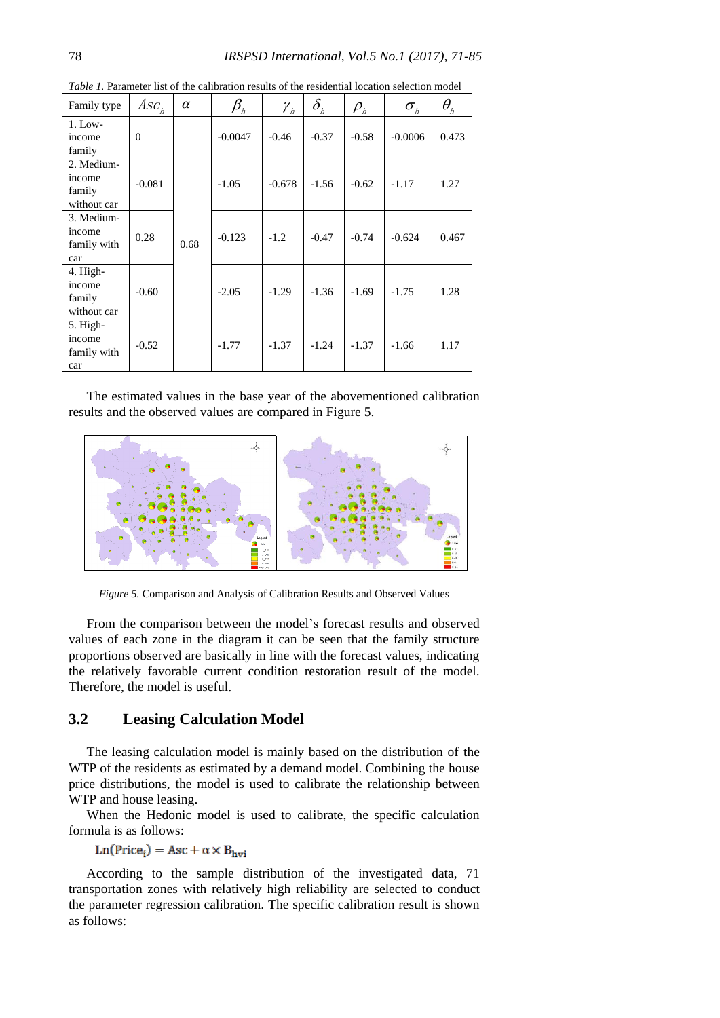| Family type                                   | $Asc_h$  | $\alpha$ | $\beta_{_\hbar}$ | $\mathcal{Y}_h$ | $\delta_{\scriptscriptstyle\hbar}$ | $\rho_{\scriptscriptstyle h}$ | $\sigma_{\scriptscriptstyle h}$ | $\theta_{\scriptscriptstyle\hbar}$ |
|-----------------------------------------------|----------|----------|------------------|-----------------|------------------------------------|-------------------------------|---------------------------------|------------------------------------|
| $1.$ Low-<br>income<br>family                 | $\Omega$ | 0.68     | $-0.0047$        | $-0.46$         | $-0.37$                            | $-0.58$                       | $-0.0006$                       | 0.473                              |
| 2. Medium-<br>income<br>family<br>without car | $-0.081$ |          | $-1.05$          | $-0.678$        | $-1.56$                            | $-0.62$                       | $-1.17$                         | 1.27                               |
| 3. Medium-<br>income<br>family with<br>car    | 0.28     |          | $-0.123$         | $-1.2$          | $-0.47$                            | $-0.74$                       | $-0.624$                        | 0.467                              |
| 4. High-<br>income<br>family<br>without car   | $-0.60$  |          | $-2.05$          | $-1.29$         | $-1.36$                            | $-1.69$                       | $-1.75$                         | 1.28                               |
| $5.$ High-<br>income<br>family with<br>car    | $-0.52$  |          | $-1.77$          | $-1.37$         | $-1.24$                            | $-1.37$                       | $-1.66$                         | 1.17                               |

*Table 1.* Parameter list of the calibration results of the residential location selection model

The estimated values in the base year of the abovementioned calibration results and the observed values are compared in Figure 5.



*Figure 5.* Comparison and Analysis of Calibration Results and Observed Values

From the comparison between the model's forecast results and observed values of each zone in the diagram it can be seen that the family structure proportions observed are basically in line with the forecast values, indicating the relatively favorable current condition restoration result of the model. Therefore, the model is useful.

# **3.2 Leasing Calculation Model**

The leasing calculation model is mainly based on the distribution of the WTP of the residents as estimated by a demand model. Combining the house price distributions, the model is used to calibrate the relationship between WTP and house leasing.

When the Hedonic model is used to calibrate, the specific calculation formula is as follows:

# $Ln(Price<sub>i</sub>) = Acc + \alpha \times B<sub>hvi</sub>$

According to the sample distribution of the investigated data, 71 transportation zones with relatively high reliability are selected to conduct the parameter regression calibration. The specific calibration result is shown as follows: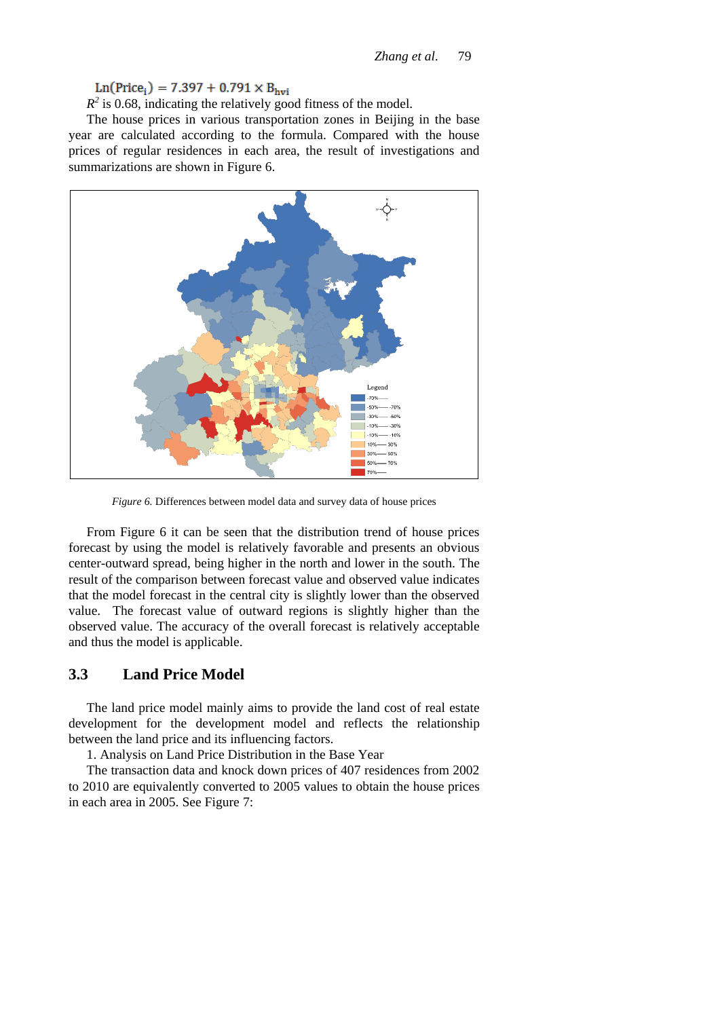$R^2$  is 0.68, indicating the relatively good fitness of the model.

The house prices in various transportation zones in Beijing in the base year are calculated according to the formula. Compared with the house prices of regular residences in each area, the result of investigations and summarizations are shown in Figure 6.



*Figure 6.* Differences between model data and survey data of house prices

From Figure 6 it can be seen that the distribution trend of house prices forecast by using the model is relatively favorable and presents an obvious center-outward spread, being higher in the north and lower in the south. The result of the comparison between forecast value and observed value indicates that the model forecast in the central city is slightly lower than the observed value. The forecast value of outward regions is slightly higher than the observed value. The accuracy of the overall forecast is relatively acceptable and thus the model is applicable.

### **3.3 Land Price Model**

The land price model mainly aims to provide the land cost of real estate development for the development model and reflects the relationship between the land price and its influencing factors.

1. Analysis on Land Price Distribution in the Base Year

The transaction data and knock down prices of 407 residences from 2002 to 2010 are equivalently converted to 2005 values to obtain the house prices in each area in 2005. See Figure 7: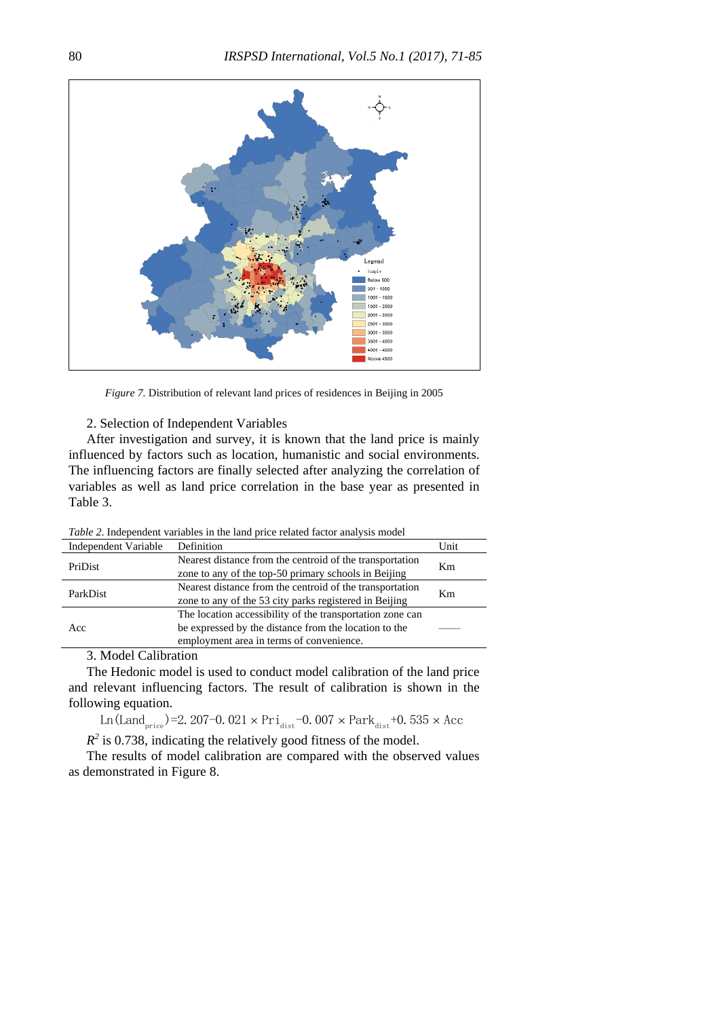

*Figure 7.* Distribution of relevant land prices of residences in Beijing in 2005

2. Selection of Independent Variables

After investigation and survey, it is known that the land price is mainly influenced by factors such as location, humanistic and social environments. The influencing factors are finally selected after analyzing the correlation of variables as well as land price correlation in the base year as presented in Table 3.

*Table 2*. Independent variables in the land price related factor analysis model

| Independent Variable | Definition                                                                                                                                                     | Unit |
|----------------------|----------------------------------------------------------------------------------------------------------------------------------------------------------------|------|
| PriDist              | Nearest distance from the centroid of the transportation<br>zone to any of the top-50 primary schools in Beijing                                               | Km   |
| ParkDist             | Nearest distance from the centroid of the transportation<br>zone to any of the 53 city parks registered in Beijing                                             | Km   |
| Acc                  | The location accessibility of the transportation zone can<br>be expressed by the distance from the location to the<br>employment area in terms of convenience. |      |

3. Model Calibration

The Hedonic model is used to conduct model calibration of the land price and relevant influencing factors. The result of calibration is shown in the following equation.

Ln(Land <sub>price</sub>)=2.207-0.021  $\times$  Pri<sub>dist</sub> -0.007  $\times$  Park  $_{dist}$  +0.535  $\times$  Acc

 $R^2$  is 0.738, indicating the relatively good fitness of the model.

The results of model calibration are compared with the observed values as demonstrated in Figure 8.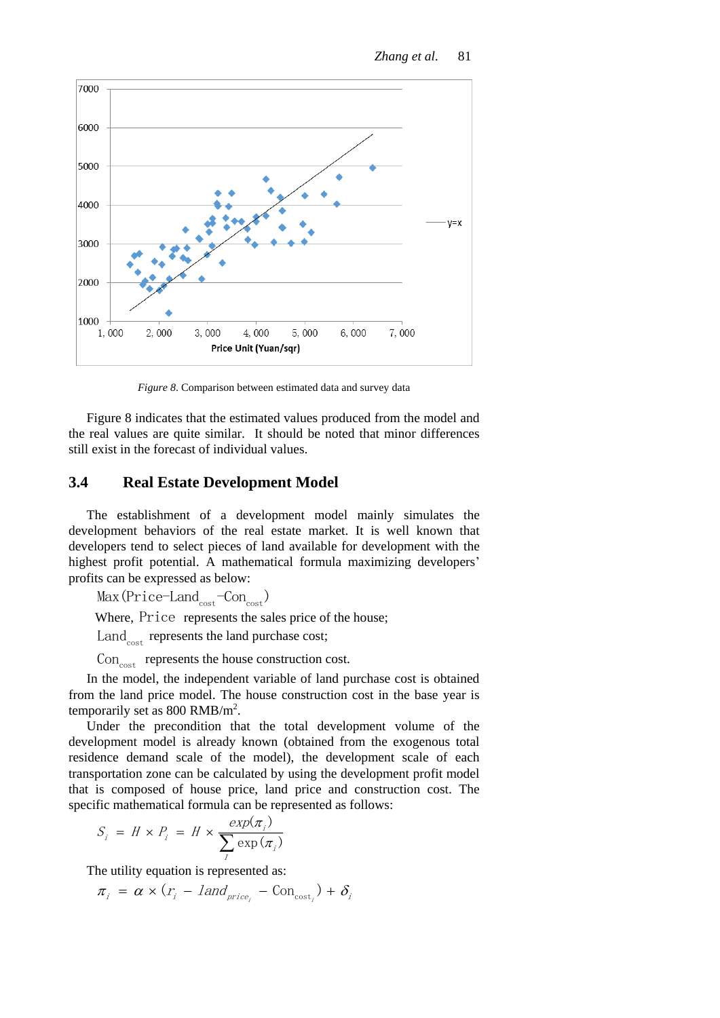

*Figure 8*. Comparison between estimated data and survey data

Figure 8 indicates that the estimated values produced from the model and the real values are quite similar. It should be noted that minor differences still exist in the forecast of individual values.

### **3.4 Real Estate Development Model**

The establishment of a development model mainly simulates the development behaviors of the real estate market. It is well known that developers tend to select pieces of land available for development with the highest profit potential. A mathematical formula maximizing developers' profits can be expressed as below:

 $Max(Price-Land_{cost}-Con_{cost})$ 

Where, Price represents the sales price of the house;

 $\text{Land}_{\text{cost}}$  represents the land purchase cost;

 $Con<sub>cost</sub>$  represents the house construction cost.

In the model, the independent variable of land purchase cost is obtained from the land price model. The house construction cost in the base year is temporarily set as  $800$  RMB/m<sup>2</sup>.

Under the precondition that the total development volume of the development model is already known (obtained from the exogenous total residence demand scale of the model), the development scale of each transportation zone can be calculated by using the development profit model that is composed of house price, land price and construction cost. The specific mathematical formula can be represented as follows:

$$
S_i = H \times P_i = H \times \frac{exp(\pi_i)}{\sum_l exp(\pi_i)}
$$

The utility equation is represented as:  
\n
$$
\pi_i = \alpha \times (r_i - \text{land}_{price_i} - \text{Con}_{cost_i}) + \delta_i
$$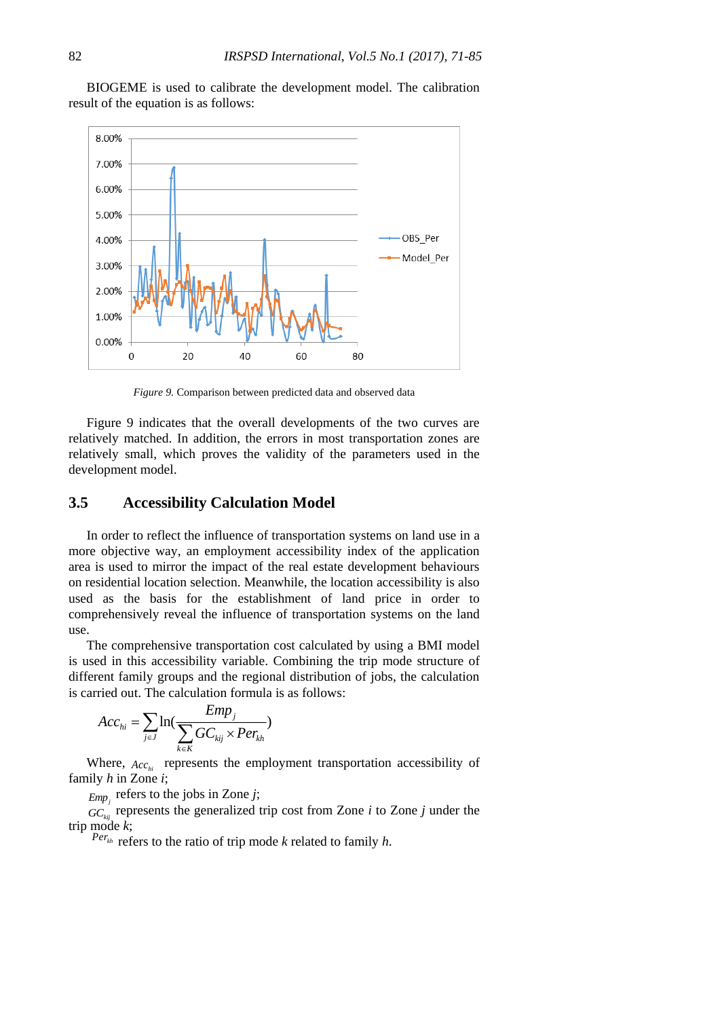BIOGEME is used to calibrate the development model. The calibration result of the equation is as follows:



*Figure 9.* Comparison between predicted data and observed data

Figure 9 indicates that the overall developments of the two curves are relatively matched. In addition, the errors in most transportation zones are relatively small, which proves the validity of the parameters used in the development model.

### **3.5 Accessibility Calculation Model**

In order to reflect the influence of transportation systems on land use in a more objective way, an employment accessibility index of the application area is used to mirror the impact of the real estate development behaviours on residential location selection. Meanwhile, the location accessibility is also used as the basis for the establishment of land price in order to comprehensively reveal the influence of transportation systems on the land use.

The comprehensive transportation cost calculated by using a BMI model is used in this accessibility variable. Combining the trip mode structure of different family groups and the regional distribution of jobs, the calculation is carried out. The calculation formula is as follows:

$$
Acc_{hi} = \sum_{j \in J} \ln(\frac{Emp_j}{\sum_{k \in K} GC_{kij} \times Per_{kh}})
$$

Where,  $Acc_{hi}$  represents the employment transportation accessibility of family *h* in Zone *i*;

 $Emp_j$  refers to the jobs in Zone *j*;

 $GC_{\text{kij}}$  represents the generalized trip cost from Zone *i* to Zone *j* under the trip mode *k*;

 $Per_{kh}$  refers to the ratio of trip mode *k* related to family *h*.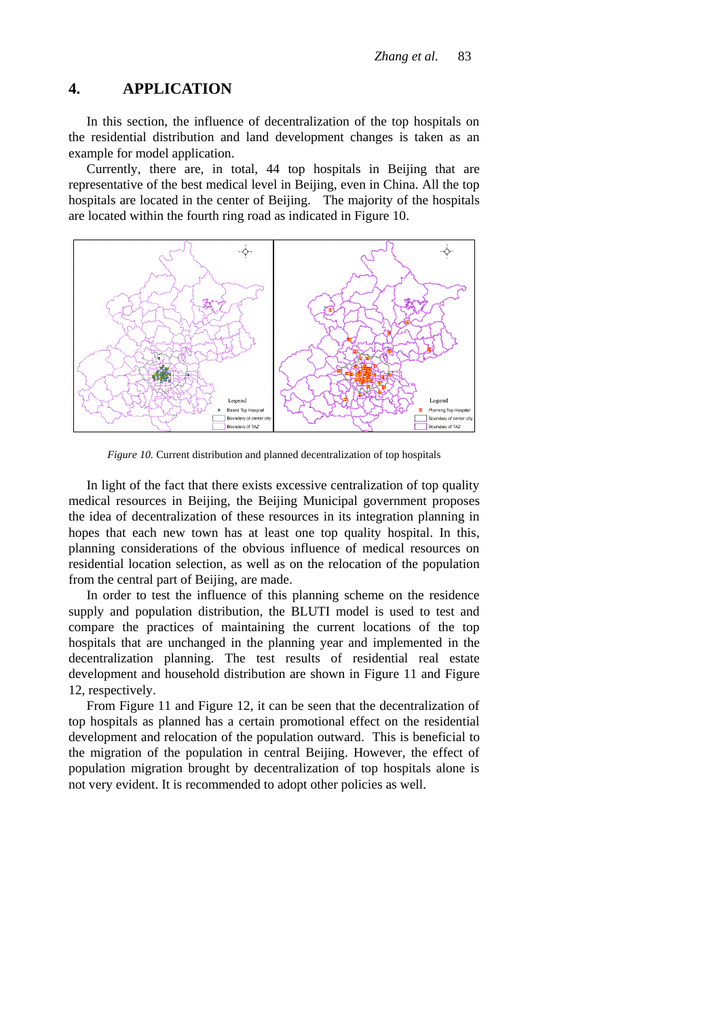# **4. APPLICATION**

In this section, the influence of decentralization of the top hospitals on the residential distribution and land development changes is taken as an example for model application.

Currently, there are, in total, 44 top hospitals in Beijing that are representative of the best medical level in Beijing, even in China. All the top hospitals are located in the center of Beijing. The majority of the hospitals are located within the fourth ring road as indicated in Figure 10.



*Figure 10.* Current distribution and planned decentralization of top hospitals

In light of the fact that there exists excessive centralization of top quality medical resources in Beijing, the Beijing Municipal government proposes the idea of decentralization of these resources in its integration planning in hopes that each new town has at least one top quality hospital. In this, planning considerations of the obvious influence of medical resources on residential location selection, as well as on the relocation of the population from the central part of Beijing, are made.

In order to test the influence of this planning scheme on the residence supply and population distribution, the BLUTI model is used to test and compare the practices of maintaining the current locations of the top hospitals that are unchanged in the planning year and implemented in the decentralization planning. The test results of residential real estate development and household distribution are shown in Figure 11 and Figure 12, respectively.

From Figure 11 and Figure 12, it can be seen that the decentralization of top hospitals as planned has a certain promotional effect on the residential development and relocation of the population outward. This is beneficial to the migration of the population in central Beijing. However, the effect of population migration brought by decentralization of top hospitals alone is not very evident. It is recommended to adopt other policies as well.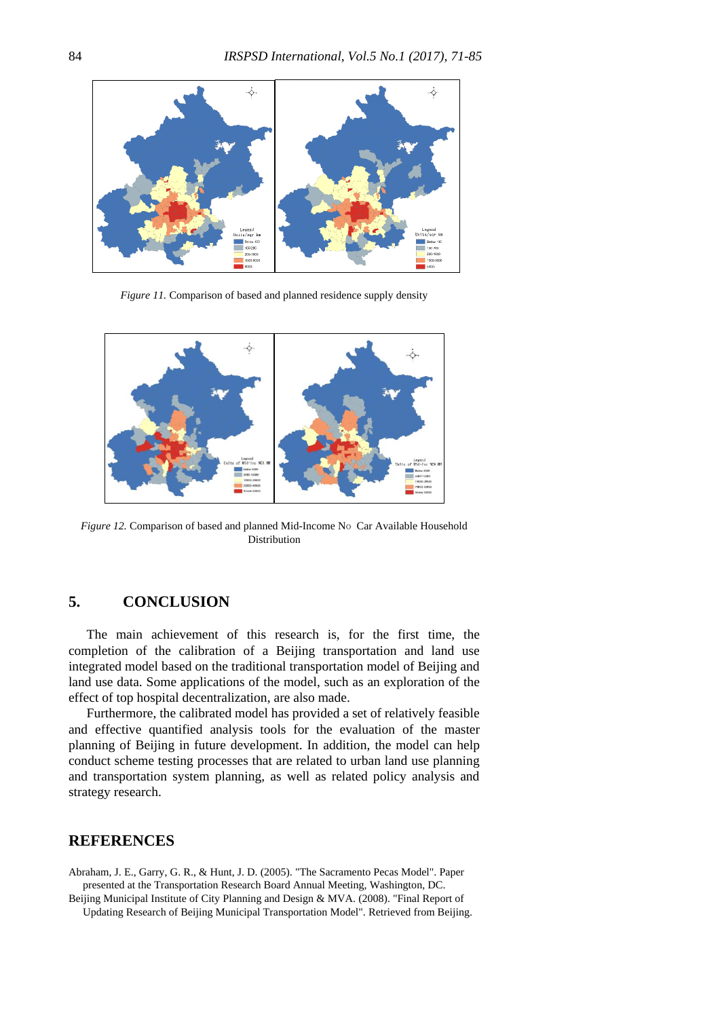

*Figure 11.* Comparison of based and planned residence supply density



*Figure 12.* Comparison of based and planned Mid-Income No Car Available Household Distribution

# **5. CONCLUSION**

The main achievement of this research is, for the first time, the completion of the calibration of a Beijing transportation and land use integrated model based on the traditional transportation model of Beijing and land use data. Some applications of the model, such as an exploration of the effect of top hospital decentralization, are also made.

Furthermore, the calibrated model has provided a set of relatively feasible and effective quantified analysis tools for the evaluation of the master planning of Beijing in future development. In addition, the model can help conduct scheme testing processes that are related to urban land use planning and transportation system planning, as well as related policy analysis and strategy research.

# **REFERENCES**

<span id="page-13-0"></span>Abraham, J. E., Garry, G. R., & Hunt, J. D. (2005). "The Sacramento Pecas Model". Paper presented at the Transportation Research Board Annual Meeting, Washington, DC. Beijing Municipal Institute of City Planning and Design & MVA. (2008). "Final Report of

<span id="page-13-1"></span>Updating Research of Beijing Municipal Transportation Model". Retrieved from Beijing.